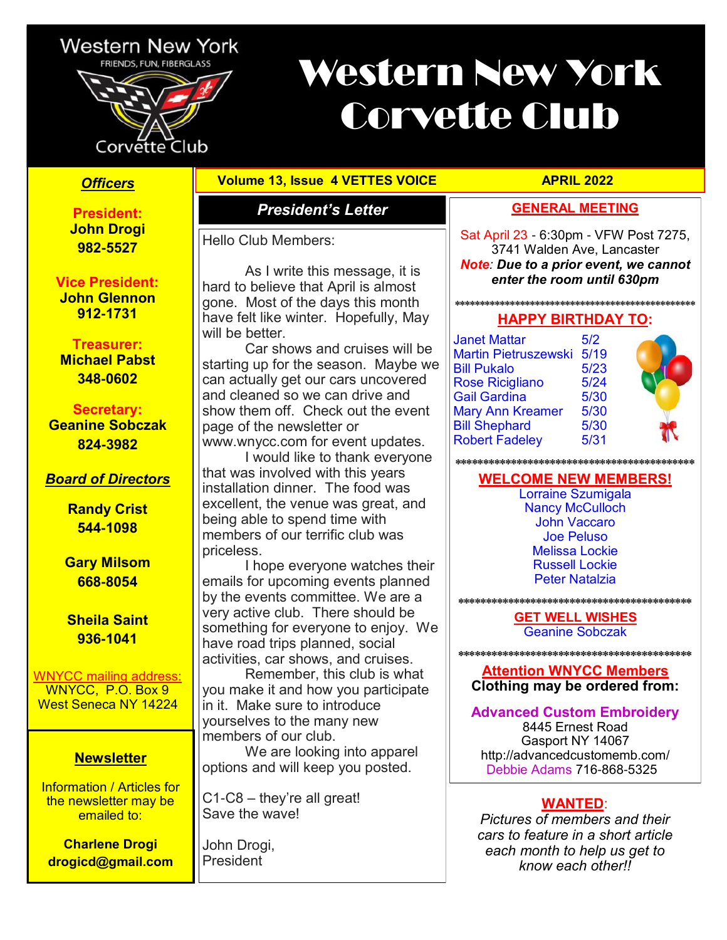

Corvette Club

# Western New York Corvette Club

**President: John Drogi 982-5527** 

**Vice President: John Glennon 912-1731**

#### **Treasurer: Michael Pabst 348-0602**

**Secretary:** 

**Geanine Sobczak 824-3982** 

### *Board of Directors*

**Randy Crist 544-1098**

**Gary Milsom 668-8054**

**Sheila Saint 936-1041**

WNYCC mailing address: WNYCC, P.O. Box 9

West Seneca NY 14224

#### **Newsletter**

Information / Articles for the newsletter may be emailed to:

**Charlene Drogi drogicd@gmail.com**

#### **Officers Volume 13, Issue 4 VETTES VOICE APRIL 2022**

As I write this message, it is

Car shows and cruises will be

I would like to thank everyone

I hope everyone watches their

starting up for the season. Maybe we can actually get our cars uncovered and cleaned so we can drive and show them off. Check out the event

www.wnycc.com for event updates.

that was involved with this years installation dinner. The food was excellent, the venue was great, and

being able to spend time with members of our terrific club was

hard to believe that April is almost gone. Most of the days this month have felt like winter. Hopefully, May

Hello Club Members:

page of the newsletter or

will be better.

priceless.

#### *President's Letter* **GENERAL MEETING**

Sat April 23 - 6:30pm - VFW Post 7275, 3741 Walden Ave, Lancaster *Note: Due to a prior event, we cannot enter the room until 630pm*

#### **\*\*\*\*\*\*\*\*\*\*\*\*\*\*\*\*\*\*\*\*\*\*\*\*\*\*\*\*\*\*\*\*\*\*\*\*\*\*\*\*\*\*\*\*\*\*\*\* HAPPY BIRTHDAY TO:**

Janet Mattar 5/2 Martin Pietruszewski 5/19 Bill Pukalo 5/23 Rose Ricigliano 5/24 Gail Gardina 5/30 Mary Ann Kreamer 5/30<br>Bill Shephard 5/30 **Bill Shephard** Robert Fadeley 5/31



**\*\*\*\*\*\*\*\*\*\*\*\*\*\*\*\*\*\*\*\*\*\*\*\*\*\*\*\*\*\*\*\*\*\*\*\*\*\*\*\*\*\*\***

#### **WELCOME NEW MEMBERS!**

Lorraine Szumigala Nancy McCulloch John Vaccaro Joe Peluso Melissa Lockie Russell Lockie Peter Natalzia

**\*\*\*\*\*\*\*\*\*\*\*\*\*\*\*\*\*\*\*\*\*\*\*\*\*\*\*\*\*\*\*\*\*\*\*\*\*\*\*\*\*\***

**GET WELL WISHES** Geanine Sobczak

#### **Attention WNYCC Members Clothing may be ordered from:**

**\*\*\*\*\*\*\*\*\*\*\*\*\*\*\*\*\*\*\*\*\*\*\*\*\*\*\*\*\*\*\*\*\*\*\*\*\*\*\*\*\*\***

#### **Advanced Custom Embroidery**

8445 Ernest Road Gasport NY 14067 http://advancedcustomemb.com/ Debbie Adams 716-868-5325

#### **WANTED**:

*Pictures of members and their cars to feature in a short article each month to help us get to know each other!!* 

something for everyone to enjoy. We have road trips planned, social

emails for upcoming events planned by the events committee. We are a very active club. There should be

activities, car shows, and cruises. Remember, this club is what you make it and how you participate in it. Make sure to introduce yourselves to the many new members of our club.

We are looking into apparel options and will keep you posted.

C1-C8 – they're all great! Save the wave!

John Drogi, **President**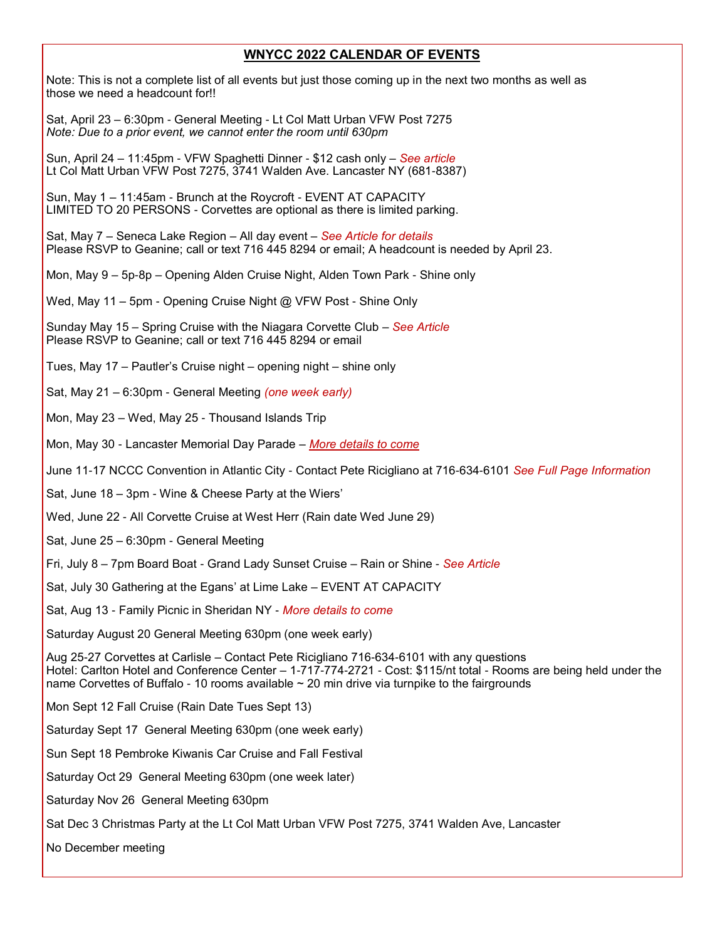#### **WNYCC 2022 CALENDAR OF EVENTS**

Note: This is not a complete list of all events but just those coming up in the next two months as well as those we need a headcount for!!

Sat, April 23 – 6:30pm - General Meeting - Lt Col Matt Urban VFW Post 7275 *Note: Due to a prior event, we cannot enter the room until 630pm*

Sun, April 24 – 11:45pm - VFW Spaghetti Dinner - \$12 cash only – *See article* Lt Col Matt Urban VFW Post 7275, 3741 Walden Ave. Lancaster NY (681-8387)

Sun, May 1 – 11:45am - Brunch at the Roycroft - EVENT AT CAPACITY LIMITED TO 20 PERSONS - Corvettes are optional as there is limited parking.

Sat, May 7 – Seneca Lake Region – All day event – *See Article for details* Please RSVP to Geanine; call or text 716 445 8294 or email; A headcount is needed by April 23.

Mon, May 9 – 5p-8p – Opening Alden Cruise Night, Alden Town Park - Shine only

Wed, May 11 – 5pm - Opening Cruise Night @ VFW Post - Shine Only

Sunday May 15 – Spring Cruise with the Niagara Corvette Club – *See Article* Please RSVP to Geanine; call or text 716 445 8294 or email

Tues, May 17 – Pautler's Cruise night – opening night – shine only

Sat, May 21 – 6:30pm - General Meeting *(one week early)*

Mon, May 23 – Wed, May 25 - Thousand Islands Trip

Mon, May 30 - Lancaster Memorial Day Parade – *More details to come*

June 11-17 NCCC Convention in Atlantic City - Contact Pete Ricigliano at 716-634-6101 *See Full Page Information* 

Sat, June 18 – 3pm - Wine & Cheese Party at the Wiers'

Wed, June 22 - All Corvette Cruise at West Herr (Rain date Wed June 29)

Sat, June 25 – 6:30pm - General Meeting

Fri, July 8 – 7pm Board Boat - Grand Lady Sunset Cruise – Rain or Shine - *See Article*

Sat, July 30 Gathering at the Egans' at Lime Lake – EVENT AT CAPACITY

Sat, Aug 13 - Family Picnic in Sheridan NY - *More details to come*

Saturday August 20 General Meeting 630pm (one week early)

Aug 25-27 Corvettes at Carlisle – Contact Pete Ricigliano 716-634-6101 with any questions Hotel: Carlton Hotel and Conference Center – 1-717-774-2721 - Cost: \$115/nt total - Rooms are being held under the name Corvettes of Buffalo - 10 rooms available  $\sim$  20 min drive via turnpike to the fairgrounds

Mon Sept 12 Fall Cruise (Rain Date Tues Sept 13)

Saturday Sept 17 General Meeting 630pm (one week early)

Sun Sept 18 Pembroke Kiwanis Car Cruise and Fall Festival

Saturday Oct 29 General Meeting 630pm (one week later)

Saturday Nov 26 General Meeting 630pm

Sat Dec 3 Christmas Party at the Lt Col Matt Urban VFW Post 7275, 3741 Walden Ave, Lancaster

No December meeting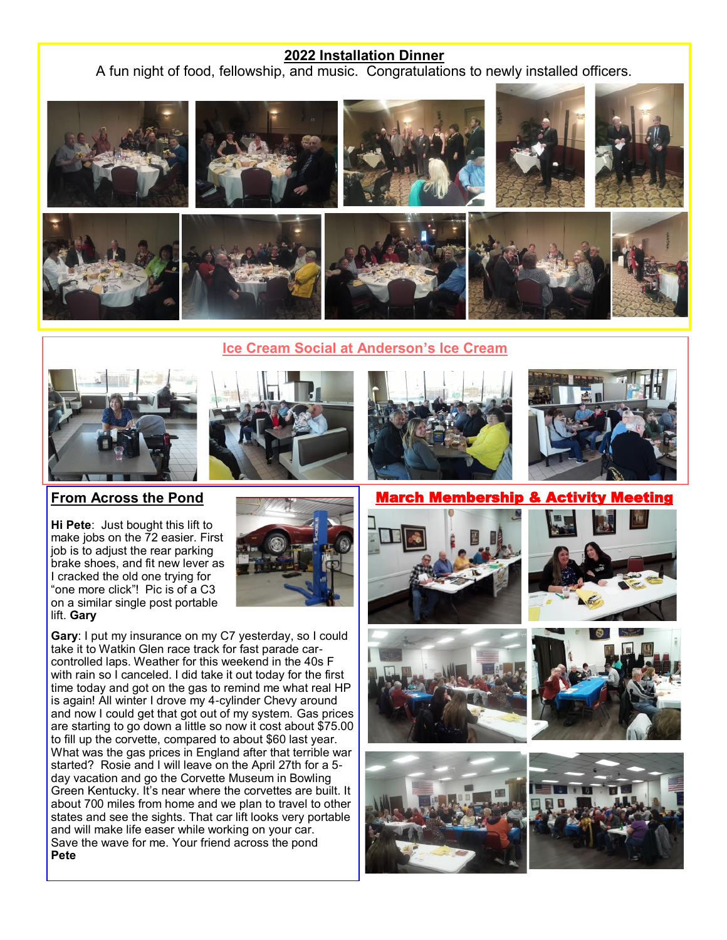#### **2022 Installation Dinner**

A fun night of food, fellowship, and music. Congratulations to newly installed officers.







**From Across the Pond**

**Hi Pete**: Just bought this lift to make jobs on the 72 easier. First job is to adjust the rear parking brake shoes, and fit new lever as I cracked the old one trying for "one more click"! Pic is of a C3 on a similar single post portable lift. **Gary** 



**Gary**: I put my insurance on my C7 yesterday, so I could take it to Watkin Glen race track for fast parade carcontrolled laps. Weather for this weekend in the 40s F with rain so I canceled. I did take it out today for the first time today and got on the gas to remind me what real HP is again! All winter I drove my 4-cylinder Chevy around and now I could get that got out of my system. Gas prices are starting to go down a little so now it cost about \$75.00 to fill up the corvette, compared to about \$60 last year. What was the gas prices in England after that terrible war started? Rosie and I will leave on the April 27th for a 5 day vacation and go the Corvette Museum in Bowling Green Kentucky. It's near where the corvettes are built. It about 700 miles from home and we plan to travel to other states and see the sights. That car lift looks very portable and will make life easer while working on your car. Save the wave for me. Your friend across the pond **Pete**





Membership











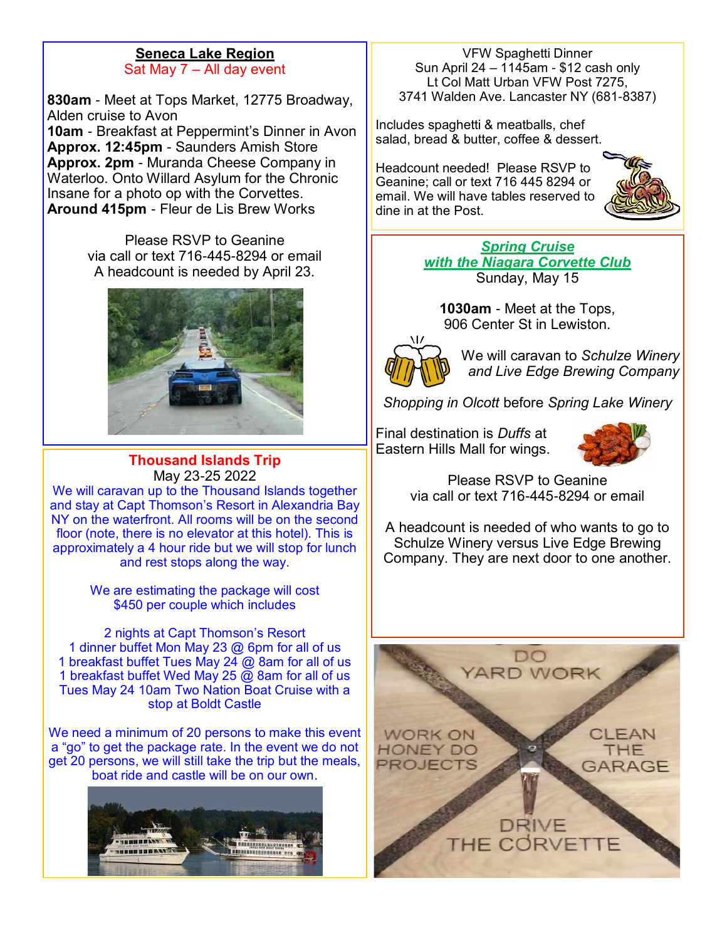#### **Seneca Lake Region** Sat May 7 – All day event

**830am** - Meet at Tops Market, 12775 Broadway, Alden cruise to Avon **10am** - Breakfast at Peppermint's Dinner in Avon **Approx. 12:45pm** - Saunders Amish Store **Approx. 2pm** - Muranda Cheese Company in Waterloo. Onto Willard Asylum for the Chronic Insane for a photo op with the Corvettes. **Around 415pm** - Fleur de Lis Brew Works

> Please RSVP to Geanine via call or text 716-445-8294 or email A headcount is needed by April 23.



#### **Thousand Islands Trip** May 23-25 2022

We will caravan up to the Thousand Islands together and stay at Capt Thomson's Resort in Alexandria Bay NY on the waterfront. All rooms will be on the second floor (note, there is no elevator at this hotel). This is approximately a 4 hour ride but we will stop for lunch and rest stops along the way.

> We are estimating the package will cost \$450 per couple which includes

2 nights at Capt Thomson's Resort 1 dinner buffet Mon May 23 @ 6pm for all of us 1 breakfast buffet Tues May 24  $\omega$  8am for all of us 1 breakfast buffet Wed May 25  $\widetilde{\omega}$  8am for all of us Tues May 24 10am Two Nation Boat Cruise with a stop at Boldt Castle

We need a minimum of 20 persons to make this event a "go" to get the package rate. In the event we do not get 20 persons, we will still take the trip but the meals, boat ride and castle will be on our own.



VFW Spaghetti Dinner Sun April 24 –  $1145$ am - \$12 cash only Lt Col Matt Urban VFW Post 7275, 3741 Walden Ave. Lancaster NY (681-8387)

Includes spaghetti & meatballs, chef salad, bread & butter, coffee & dessert.

Headcount needed! Please RSVP to Geanine; call or text 716 445 8294 or email. We will have tables reserved to dine in at the Post.



*Spring Cruise with the Niagara Corvette Club*  Sunday, May 15

**1030am** - Meet at the Tops, 906 Center St in Lewiston.



We will caravan to *Schulze Winery and Live Edge Brewing Company*

*Shopping in Olcott* before *Spring Lake Winery*

Final destination is *Duffs* at Eastern Hills Mall for wings.



Please RSVP to Geanine via call or text 716-445-8294 or email

A headcount is needed of who wants to go to Schulze Winery versus Live Edge Brewing Company. They are next door to one another.

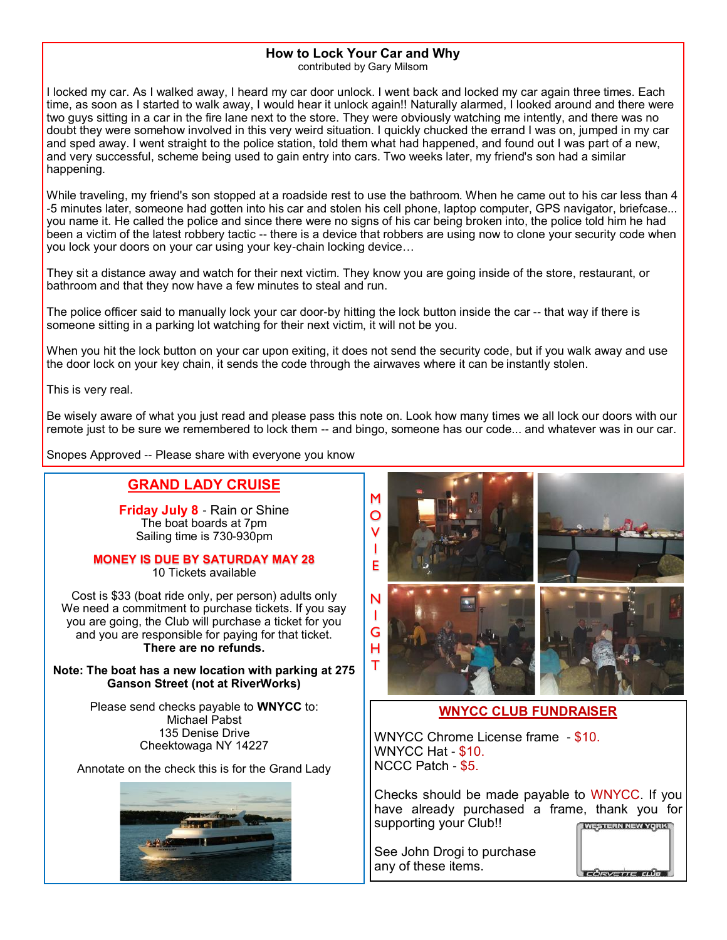#### **How to Lock Your Car and Why**

contributed by Gary Milsom

I locked my car. As I walked away, I heard my car door unlock. I went back and locked my car again three times. Each time, as soon as I started to walk away, I would hear it unlock again!! Naturally alarmed, I looked around and there were two guys sitting in a car in the fire lane next to the store. They were obviously watching me intently, and there was no doubt they were somehow involved in this very weird situation. I quickly chucked the errand I was on, jumped in my car and sped away. I went straight to the police station, told them what had happened, and found out I was part of a new, and very successful, scheme being used to gain entry into cars. Two weeks later, my friend's son had a similar happening.

While traveling, my friend's son stopped at a roadside rest to use the bathroom. When he came out to his car less than 4 -5 minutes later, someone had gotten into his car and stolen his cell phone, laptop computer, GPS navigator, briefcase... you name it. He called the police and since there were no signs of his car being broken into, the police told him he had been a victim of the latest robbery tactic -- there is a device that robbers are using now to clone your security code when you lock your doors on your car using your key-chain locking device…

They sit a distance away and watch for their next victim. They know you are going inside of the store, restaurant, or bathroom and that they now have a few minutes to steal and run.

The police officer said to manually lock your car door-by hitting the lock button inside the car -- that way if there is someone sitting in a parking lot watching for their next victim, it will not be you.

When you hit the lock button on your car upon exiting, it does not send the security code, but if you walk away and use the door lock on your key chain, it sends the code through the airwaves where it can be instantly stolen.

This is very real.

Be wisely aware of what you just read and please pass this note on. Look how many times we all lock our doors with our remote just to be sure we remembered to lock them -- and bingo, someone has our code... and whatever was in our car.

Snopes Approved -- Please share with everyone you know

#### **GRAND LADY CRUISE**

**Friday July 8** - Rain or Shine The boat boards at 7pm Sailing time is 730-930pm

#### **MONEY IS DUE BY SATURDAY MAY 28**

10 Tickets available

Cost is \$33 (boat ride only, per person) adults only We need a commitment to purchase tickets. If you say you are going, the Club will purchase a ticket for you and you are responsible for paying for that ticket. **There are no refunds.**

**Note: The boat has a new location with parking at 275 Ganson Street (not at RiverWorks)**

> Please send checks payable to **WNYCC** to: Michael Pabst 135 Denise Drive Cheektowaga NY 14227

Annotate on the check this is for the Grand Lady





#### **WNYCC CLUB FUNDRAISER**

WNYCC Chrome License frame - \$10. WNYCC Hat - \$10. NCCC Patch - \$5.

Checks should be made payable to WNYCC. If you have already purchased a frame, thank you for supporting your Club!! **WESTERN NEW YORK** 

See John Drogi to purchase any of these items.



**CORVETTE CLUB**